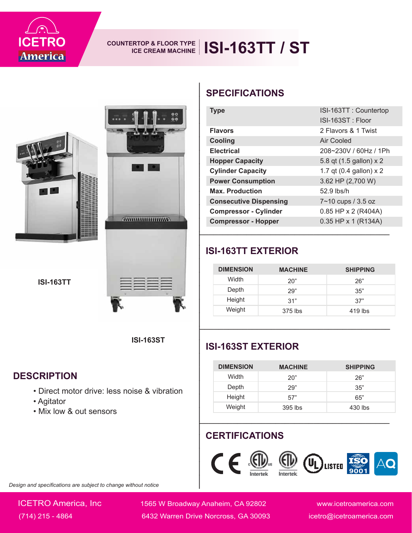

## COUNTERTOP & FLOOR TYPE **ISI-163TT / ST**







#### **DESCRIPTION**

- Direct motor drive: less noise & vibration
- Agitator
- Mix low & out sensors

| ICETRO<br><b>America</b>                                                              | <b>COUNTERTOP &amp; FLOOR TYPE</b><br><b>ICE CREAM MACHINE</b>            | <b>ISI-163TT / ST</b>                              |                              |                                                    |
|---------------------------------------------------------------------------------------|---------------------------------------------------------------------------|----------------------------------------------------|------------------------------|----------------------------------------------------|
|                                                                                       |                                                                           | <b>SPECIFICATIONS</b>                              |                              |                                                    |
|                                                                                       | <u>00</u>                                                                 | <b>Type</b>                                        |                              | ISI-163TT: Countertop                              |
|                                                                                       | ٥ö                                                                        |                                                    |                              | ISI-163ST: Floor                                   |
|                                                                                       |                                                                           | <b>Flavors</b>                                     |                              | 2 Flavors & 1 Twist                                |
|                                                                                       |                                                                           | <b>Cooling</b>                                     |                              | <b>Air Cooled</b>                                  |
|                                                                                       |                                                                           | <b>Electrical</b>                                  |                              | 208~230V / 60Hz / 1Ph                              |
|                                                                                       |                                                                           | <b>Hopper Capacity</b><br><b>Cylinder Capacity</b> |                              | 5.8 qt (1.5 gallon) x 2<br>1.7 qt (0.4 gallon) x 2 |
|                                                                                       |                                                                           | <b>Power Consumption</b>                           |                              | 3.62 HP (2,700 W)                                  |
|                                                                                       |                                                                           | <b>Max. Production</b>                             |                              | 52.9 lbs/h                                         |
|                                                                                       |                                                                           | <b>Consecutive Dispensing</b>                      |                              | 7~10 cups / 3.5 oz                                 |
|                                                                                       |                                                                           | <b>Compressor - Cylinder</b>                       |                              | 0.85 HP x 2 (R404A)                                |
|                                                                                       | $\alpha$ and $\alpha$ and $\alpha$ and $\alpha$ and $\alpha$ and $\alpha$ | <b>Compressor - Hopper</b>                         |                              | 0.35 HP x 1 (R134A)                                |
| <b>ISI-163TT</b>                                                                      |                                                                           | Width<br>Depth<br>Height<br>Weight                 | 20"<br>29"<br>31"<br>375 lbs | 26"<br>35"<br>37"<br>419 lbs                       |
|                                                                                       | <b>ISI-163ST</b>                                                          | <b>ISI-163ST EXTERIOR</b>                          |                              |                                                    |
|                                                                                       |                                                                           | <b>DIMENSION</b>                                   | <b>MACHINE</b>               | <b>SHIPPING</b>                                    |
| <b>ESCRIPTION</b>                                                                     |                                                                           | Width                                              | 20"                          | 26"                                                |
| • Direct motor drive: less noise & vibration<br>• Agitator<br>• Mix low & out sensors |                                                                           | Depth                                              | 29"                          | 35"                                                |
|                                                                                       |                                                                           | Height<br>Weight                                   | 57"<br>395 lbs               | 65"<br>430 lbs                                     |
|                                                                                       |                                                                           | <b>CERTIFICATIONS</b><br>CE                        |                              | LISTED                                             |
| ign and specifications are subject to change without notice                           |                                                                           |                                                    | Intertek                     |                                                    |
| <b>ICETRO America, Inc</b>                                                            |                                                                           | 1565 W Broadway Anaheim, CA 92802                  |                              | www.icetroamerica.com                              |

### **ISI-163TT EXTERIOR**

| <b>DIMENSION</b> | <b>MACHINE</b> | <b>SHIPPING</b> |
|------------------|----------------|-----------------|
| Width            | 20"            | 26"             |
| Depth            | 29"            | 35"             |
| Height           | 31"            | 37"             |
| Weight           | 375 lbs        | $419$ lbs       |

### **ISI-163ST EXTERIOR**

| <b>DIMENSION</b> | <b>MACHINE</b> | <b>SHIPPING</b> |
|------------------|----------------|-----------------|
| Width            | 20"            | 26"             |
| Depth            | 29"            | 35"             |
| Height           | 57"            | 65"             |
| Weight           | 395 lbs        | 430 lbs         |

### **CERTIFICATIONS**



*Design and specifications are subject to change without notice*